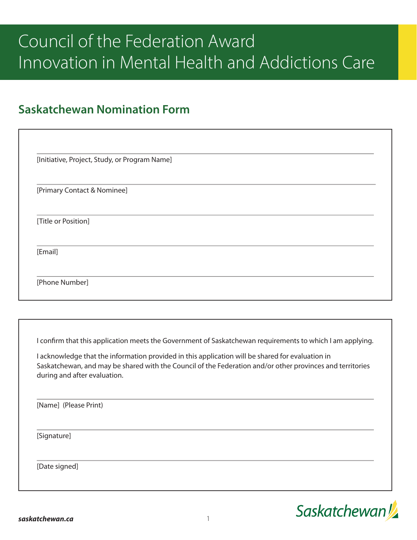## Council of the Federation Award Innovation in Mental Health and Addictions Care

#### **Saskatchewan Nomination Form**

| [Initiative, Project, Study, or Program Name] |  |  |
|-----------------------------------------------|--|--|
| [Primary Contact & Nominee]                   |  |  |
| [Title or Position]                           |  |  |
| [Email]                                       |  |  |
| [Phone Number]                                |  |  |

I confirm that this application meets the Government of Saskatchewan requirements to which I am applying.

I acknowledge that the information provided in this application will be shared for evaluation in Saskatchewan, and may be shared with the Council of the Federation and/or other provinces and territories during and after evaluation.

[Name] (Please Print)

[Signature]

[Date signed]

# Saskatchewan!